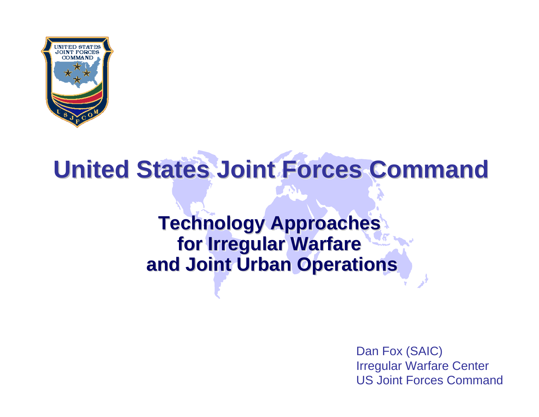

# **United States Joint Forces Command United States Joint Forces Command**

### **Technology Approaches for Irregular Warfare for Irregular Warfare for Irregular Warfare and Joint Urban Operations and Joint Urban Operations and Joint Urban Operations**

Dan Fox (SAIC) Irregular Warfare Center US Joint Forces Command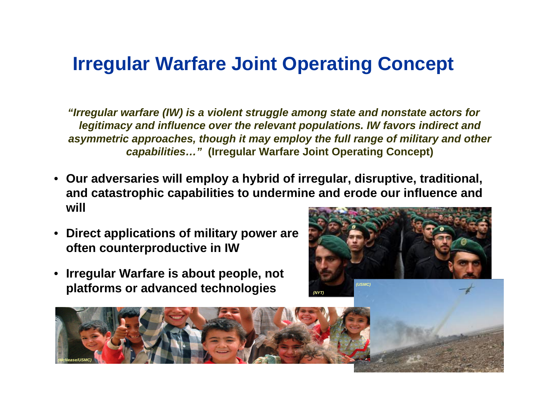### **Irregular Warfare Joint Operating Concept**

*"Irregular warfare (IW) is a violent struggle among state and nonstate actors for legitimacy and influence over the relevant populations. IW favors indirect and asymmetric approaches, though it may employ the full range of military and other capabilities…"* **(Irregular Warfare Joint Operating Concept)**

- **Our adversaries will employ a hybrid of irregular, disruptive, traditional, and catastrophic capabilities to undermine and erode our influence and will**
- **Direct applications of military power are often counterproductive in IW**
- **Irregular Warfare is about people, not platforms or advanced technologies**



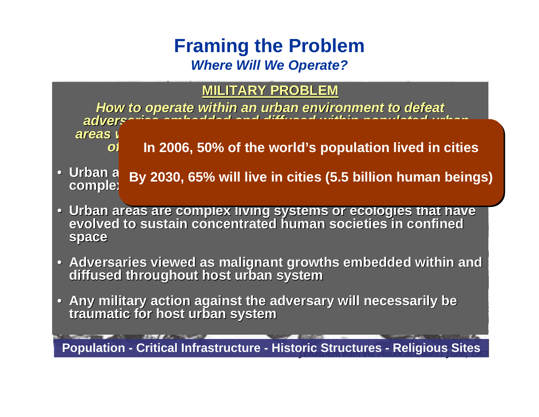#### **Framing the Problem**  *Where Will We Operate?*

#### **MILITARY PROBL MILITARY PROBL E M**

How to operate within an urban environment to defeat<br>adverseling and allocated and different distribution areas in a<br>oi in 2006, 50% of the world's population lived in d

- **In 2006, 50% of the world's population lived in cities In 2006, 50% of the world's population lived in cities**
- **Urban areas are n** Urban a  $\,$  By 2030, 65% will live in cities (5.5 billion humar<br>compleː **By 2030, 65% will live in cities (5.5 billion human beings) By 2030, 65% will live in cities (5.5 billion human beings)**
- Urban areas are complex living systems or ecologies that have<br>evolved to sustain concentrated human societies in confined **evolved to sustain concentrated entrated human societies in confined human societies in confined space**
- Adversaries viewed as malignant growths embedded within and **diffused throughout host urban system**
- Any military action against the adversary will necessarily be **traumatic for host urban system**

Population - Critical Infrastructure - Historic Structures - Religious Sites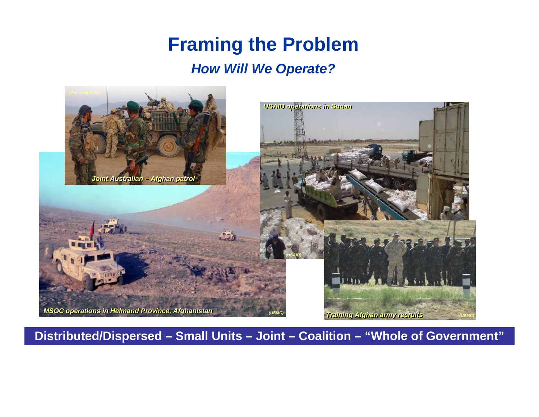### **Framing the Problem**

#### *How Will We Operate?*



**Distributed/Dispersed – Small Units – Joint – Coalition – "Whole of Government"**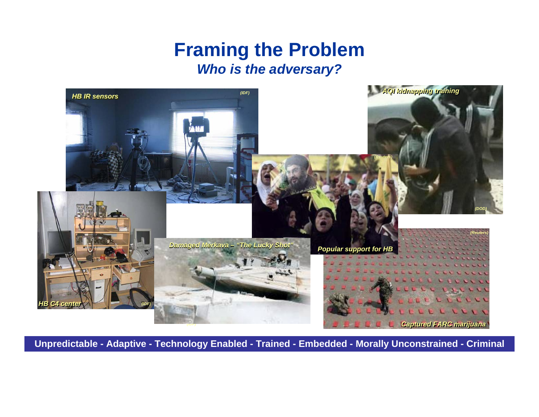#### **Framing the Problem** *Who is the adversary?*



**Unpredictable - Adaptive - Technology Enabled - Trained - Embedded - Morally Unconstrained - Criminal**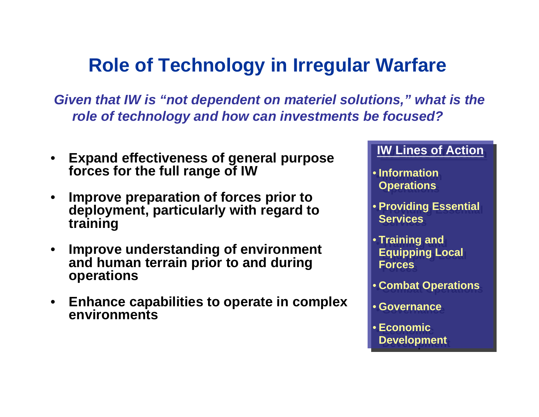## **Role of Technology in Irregular Warfare**

*Given that IW is "not dependent on materiel solutions," what is the role of technology and how can investments be focused?*

- • **Expand effectiveness of general purpose forces for the full range of IW**
- • **Improve preparation of forces prior to deployment, particularly with regard to training**
- • **Improve understanding of environment and human terrain prior to and during operations**
- • **Enhance capabilities to operate in complex environments**

#### **IW Lines of Action**

- **Information Information Operations Operations**
- **Providing Essential Providing Essential Services**
- **Training and Training and Equipping Local Equipping Local ForcesForces**
- **Combat Operations Combat Operations**
- **Governance Governance**
- **Economic Economic Development Dev elopment**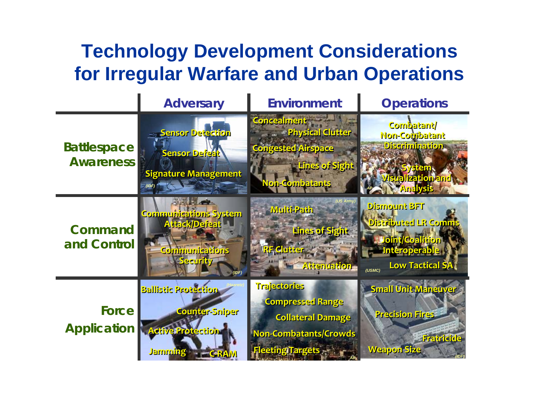### **Technology Development Considerations for Irregular Warfare and Urban Operations**

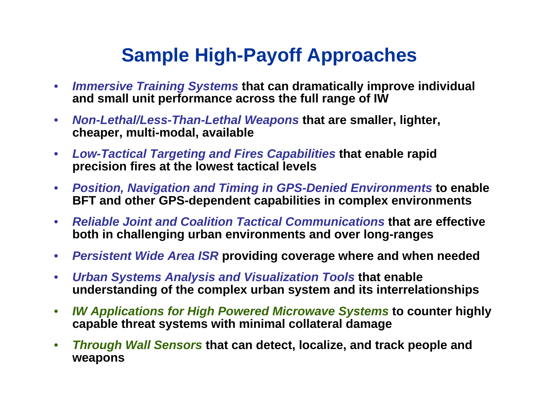### **Sample High-Payoff Approaches**

- $\bullet$  *Immersive Training Systems* **that can dramatically improve individual and small unit performance across the full range of IW**
- $\bullet$  *Non-Lethal/Less-Than-Lethal Weapons* **that are smaller, lighter, cheaper, multi-modal, available**
- $\bullet$  *Low-Tactical Targeting and Fires Capabilities* **that enable rapid precision fires at the lowest tactical levels**
- $\bullet$  *Position, Navigation and Timing in GPS-Denied Environments* **to enable BFT and other GPS-dependent capabilities in complex environments**
- $\bullet$  *Reliable Joint and Coalition Tactical Communications* **that are effective both in challenging urban environments and over long-ranges**
- $\bullet$ *Persistent Wide Area ISR* **providing coverage where and when needed**
- $\bullet$  *Urban Systems Analysis and Visualization Tools* **that enable understanding of the complex urban system and its interrelationships**
- $\bullet$  *IW Applications for High Powered Microwave Systems* **to counter highly capable threat systems with minimal collateral damage**
- • *Through Wall Sensors* **that can detect, localize, and track people and weapons**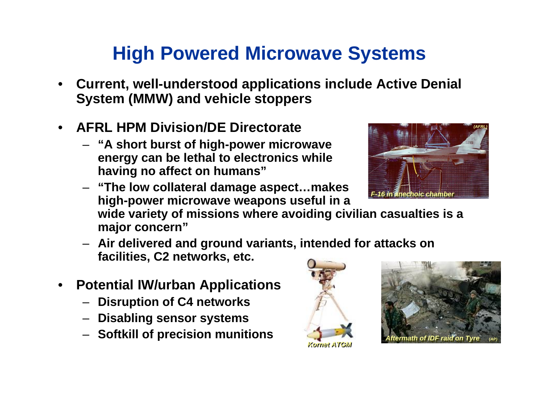## **High Powered Microwave Systems**

- • **Current, well-understood applications include Active Denial System (MMW) and vehicle stoppers**
- • **AFRL HPM Division/DE Directorate**
	- **"A short burst of high-power microwave energy can be lethal to electronics while having no affect on humans"**



– **"The low collateral damage aspect…makes high-power microwave weapons useful in a** 

**wide variety of missions where avoiding civilian casualties is a major concern"**

- **Air delivered and ground variants, intended for attacks on facilities, C2 networks, etc.**
- • **Potential IW/urban Applications**
	- **Disruption of C4 networks**
	- **Disabling sensor systems**
	- **Softkill of precision munitions**





*Kornet ATGM Kornet ATGM*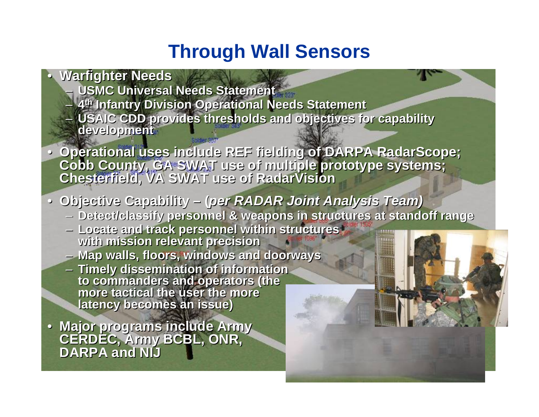#### **Through Wall Sensors**

- • **Warfighter Needs Warfighter Needs USMC Universal Needs Statement USMC Universal Needs Statement** – **4th Infantry Division Operational Needs Statement** – **4th Infantry Division Operational Needs Statement** – **USAIC CDD provides thresholds and objectives for capability**  – **USAIC CDD provides thresholds and objectives for capability development development**  $\bullet$
- **Operational uses include REF fielding of DARPA RadarScope; Operational uses include REF fielding of DARPA RadarScope; Cobb County, GA SWAT use of multiple prototype systems; Chesterfield, VA SWAT use of RadarVision Cobb County, GA SWAT use of multiple prototype systems; Chesterfield, VA SWAT use of RadarVision**
- **Objective Capability – (***per RADAR Joint Analysis Team)* **Objective Capability – (***per RADAR Joint Analysis Team)*
	- **Detect/classify personnel & weapons in structures at standoff range Detect/classify personnel & weapons in structures at standoff range**
	- **Locate and track personnel within structures Locate and track personnel within structures with mission relevant precision with mission relevant precision**
	- **Map walls, floors, windows and doorways Map walls, floors, windows and doorways**
	- **Timely dissemination of information Timely dissemination of information to commanders and operators (the to commanders and operators (the more tactical the user the more more tactical the user the more latency becomes an issue) latency becomes an issue)**
- **Major programs include Army Major programs include Army CERDEC, Army BCBL, ONR, CERDEC, Army BCBL, ONR, DARPA and NIJ DARPA and NIJ**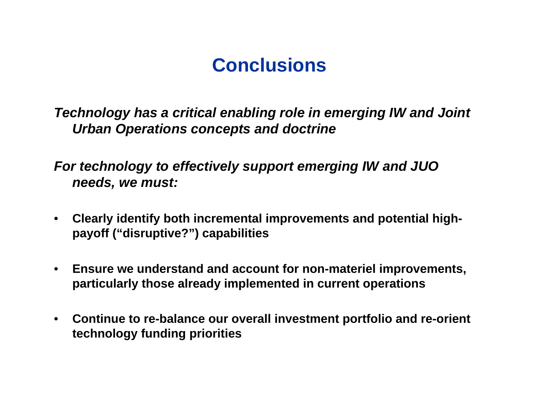#### **Conclusions**

*Technology has a critical enabling role in emerging IW and Joint Urban Operations concepts and doctrine*

*For technology to effectively support emerging IW and JUO needs, we must:*

- $\bullet$  **Clearly identify both incremental improvements and potential highpayoff ("disruptive?") capabilities**
- • **Ensure we understand and account for non-materiel improvements, particularly those already implemented in current operations**
- • **Continue to re-balance our overall investment portfolio and re-orient technology funding priorities**